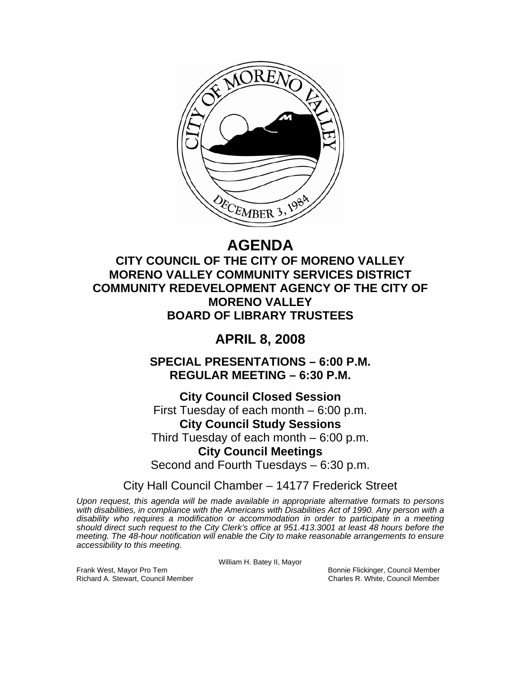

# **AGENDA**

**CITY COUNCIL OF THE CITY OF MORENO VALLEY MORENO VALLEY COMMUNITY SERVICES DISTRICT COMMUNITY REDEVELOPMENT AGENCY OF THE CITY OF MORENO VALLEY BOARD OF LIBRARY TRUSTEES** 

# **APRIL 8, 2008**

**SPECIAL PRESENTATIONS – 6:00 P.M. REGULAR MEETING – 6:30 P.M.** 

**City Council Closed Session**  First Tuesday of each month – 6:00 p.m. **City Council Study Sessions**  Third Tuesday of each month – 6:00 p.m. **City Council Meetings**  Second and Fourth Tuesdays – 6:30 p.m.

City Hall Council Chamber – 14177 Frederick Street

*Upon request, this agenda will be made available in appropriate alternative formats to persons with disabilities, in compliance with the Americans with Disabilities Act of 1990. Any person with a disability who requires a modification or accommodation in order to participate in a meeting should direct such request to the City Clerk's office at 951.413.3001 at least 48 hours before the meeting. The 48-hour notification will enable the City to make reasonable arrangements to ensure accessibility to this meeting.* 

William H. Batey II, Mayor

Frank West, Mayor Pro Tem Bonnie Flickinger, Council Member Richard A. Stewart, Council Member Charles R. White, Council Member Charles R. White, Council Member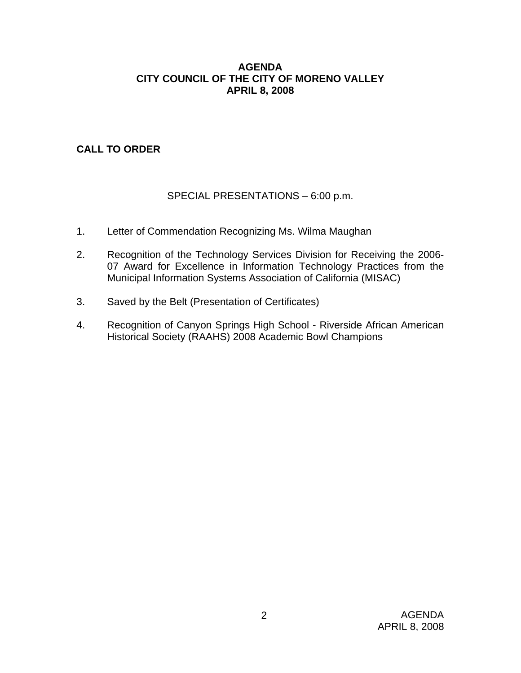#### **AGENDA CITY COUNCIL OF THE CITY OF MORENO VALLEY APRIL 8, 2008**

# **CALL TO ORDER**

# SPECIAL PRESENTATIONS – 6:00 p.m.

- 1. Letter of Commendation Recognizing Ms. Wilma Maughan
- 2. Recognition of the Technology Services Division for Receiving the 2006- 07 Award for Excellence in Information Technology Practices from the Municipal Information Systems Association of California (MISAC)
- 3. Saved by the Belt (Presentation of Certificates)
- 4. Recognition of Canyon Springs High School Riverside African American Historical Society (RAAHS) 2008 Academic Bowl Champions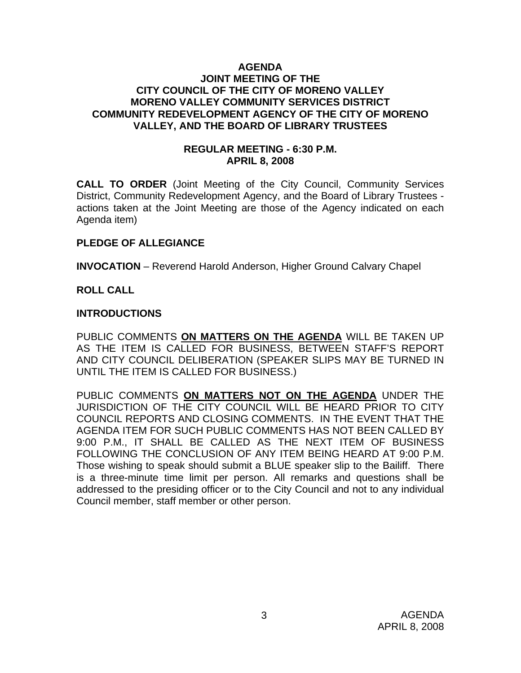#### **AGENDA JOINT MEETING OF THE CITY COUNCIL OF THE CITY OF MORENO VALLEY MORENO VALLEY COMMUNITY SERVICES DISTRICT COMMUNITY REDEVELOPMENT AGENCY OF THE CITY OF MORENO VALLEY, AND THE BOARD OF LIBRARY TRUSTEES**

#### **REGULAR MEETING - 6:30 P.M. APRIL 8, 2008**

**CALL TO ORDER** (Joint Meeting of the City Council, Community Services District, Community Redevelopment Agency, and the Board of Library Trustees actions taken at the Joint Meeting are those of the Agency indicated on each Agenda item)

# **PLEDGE OF ALLEGIANCE**

**INVOCATION** – Reverend Harold Anderson, Higher Ground Calvary Chapel

# **ROLL CALL**

#### **INTRODUCTIONS**

PUBLIC COMMENTS **ON MATTERS ON THE AGENDA** WILL BE TAKEN UP AS THE ITEM IS CALLED FOR BUSINESS, BETWEEN STAFF'S REPORT AND CITY COUNCIL DELIBERATION (SPEAKER SLIPS MAY BE TURNED IN UNTIL THE ITEM IS CALLED FOR BUSINESS.)

PUBLIC COMMENTS **ON MATTERS NOT ON THE AGENDA** UNDER THE JURISDICTION OF THE CITY COUNCIL WILL BE HEARD PRIOR TO CITY COUNCIL REPORTS AND CLOSING COMMENTS. IN THE EVENT THAT THE AGENDA ITEM FOR SUCH PUBLIC COMMENTS HAS NOT BEEN CALLED BY 9:00 P.M., IT SHALL BE CALLED AS THE NEXT ITEM OF BUSINESS FOLLOWING THE CONCLUSION OF ANY ITEM BEING HEARD AT 9:00 P.M. Those wishing to speak should submit a BLUE speaker slip to the Bailiff. There is a three-minute time limit per person. All remarks and questions shall be addressed to the presiding officer or to the City Council and not to any individual Council member, staff member or other person.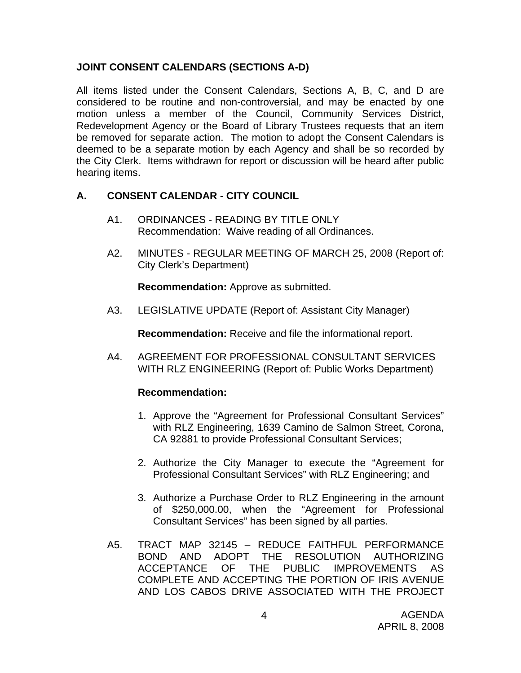# **JOINT CONSENT CALENDARS (SECTIONS A-D)**

All items listed under the Consent Calendars, Sections A, B, C, and D are considered to be routine and non-controversial, and may be enacted by one motion unless a member of the Council, Community Services District, Redevelopment Agency or the Board of Library Trustees requests that an item be removed for separate action. The motion to adopt the Consent Calendars is deemed to be a separate motion by each Agency and shall be so recorded by the City Clerk. Items withdrawn for report or discussion will be heard after public hearing items.

# **A. CONSENT CALENDAR** - **CITY COUNCIL**

- A1. ORDINANCES READING BY TITLE ONLY Recommendation: Waive reading of all Ordinances.
- A2. MINUTES REGULAR MEETING OF MARCH 25, 2008 (Report of: City Clerk's Department)

**Recommendation:** Approve as submitted.

A3. LEGISLATIVE UPDATE (Report of: Assistant City Manager)

**Recommendation:** Receive and file the informational report.

A4. AGREEMENT FOR PROFESSIONAL CONSULTANT SERVICES WITH RLZ ENGINEERING (Report of: Public Works Department)

- 1. Approve the "Agreement for Professional Consultant Services" with RLZ Engineering, 1639 Camino de Salmon Street, Corona, CA 92881 to provide Professional Consultant Services;
- 2. Authorize the City Manager to execute the "Agreement for Professional Consultant Services" with RLZ Engineering; and
- 3. Authorize a Purchase Order to RLZ Engineering in the amount of \$250,000.00, when the "Agreement for Professional Consultant Services" has been signed by all parties.
- A5. TRACT MAP 32145 REDUCE FAITHFUL PERFORMANCE BOND AND ADOPT THE RESOLUTION AUTHORIZING ACCEPTANCE OF THE PUBLIC IMPROVEMENTS AS COMPLETE AND ACCEPTING THE PORTION OF IRIS AVENUE AND LOS CABOS DRIVE ASSOCIATED WITH THE PROJECT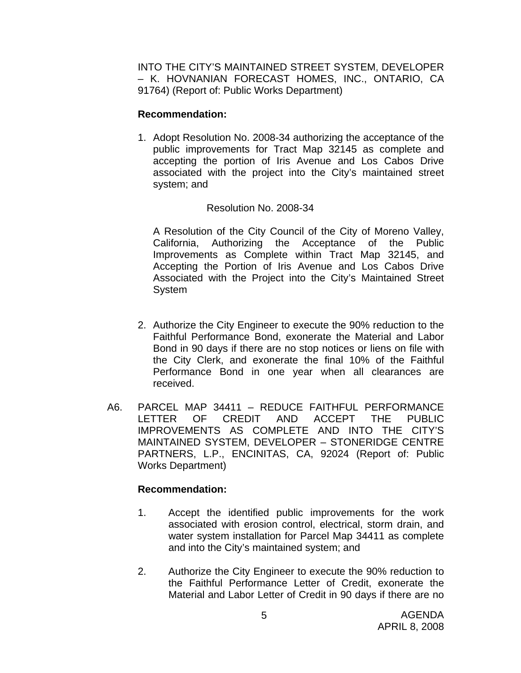INTO THE CITY'S MAINTAINED STREET SYSTEM, DEVELOPER – K. HOVNANIAN FORECAST HOMES, INC., ONTARIO, CA 91764) (Report of: Public Works Department)

#### **Recommendation:**

1. Adopt Resolution No. 2008-34 authorizing the acceptance of the public improvements for Tract Map 32145 as complete and accepting the portion of Iris Avenue and Los Cabos Drive associated with the project into the City's maintained street system; and

#### Resolution No. 2008-34

A Resolution of the City Council of the City of Moreno Valley, California, Authorizing the Acceptance of the Public Improvements as Complete within Tract Map 32145, and Accepting the Portion of Iris Avenue and Los Cabos Drive Associated with the Project into the City's Maintained Street **System** 

- 2. Authorize the City Engineer to execute the 90% reduction to the Faithful Performance Bond, exonerate the Material and Labor Bond in 90 days if there are no stop notices or liens on file with the City Clerk, and exonerate the final 10% of the Faithful Performance Bond in one year when all clearances are received.
- A6. PARCEL MAP 34411 REDUCE FAITHFUL PERFORMANCE LETTER OF CREDIT AND ACCEPT THE PUBLIC IMPROVEMENTS AS COMPLETE AND INTO THE CITY'S MAINTAINED SYSTEM, DEVELOPER – STONERIDGE CENTRE PARTNERS, L.P., ENCINITAS, CA, 92024 (Report of: Public Works Department)

- 1. Accept the identified public improvements for the work associated with erosion control, electrical, storm drain, and water system installation for Parcel Map 34411 as complete and into the City's maintained system; and
- 2. Authorize the City Engineer to execute the 90% reduction to the Faithful Performance Letter of Credit, exonerate the Material and Labor Letter of Credit in 90 days if there are no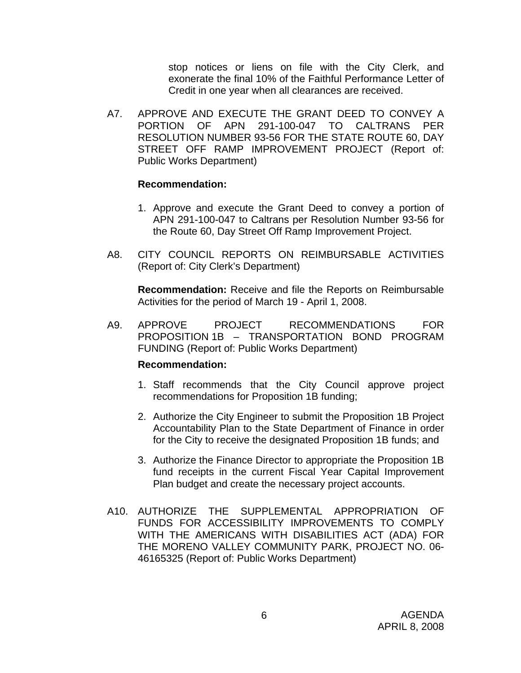stop notices or liens on file with the City Clerk, and exonerate the final 10% of the Faithful Performance Letter of Credit in one year when all clearances are received.

A7. APPROVE AND EXECUTE THE GRANT DEED TO CONVEY A PORTION OF APN 291-100-047 TO CALTRANS PER RESOLUTION NUMBER 93-56 FOR THE STATE ROUTE 60, DAY STREET OFF RAMP IMPROVEMENT PROJECT (Report of: Public Works Department)

#### **Recommendation:**

- 1. Approve and execute the Grant Deed to convey a portion of APN 291-100-047 to Caltrans per Resolution Number 93-56 for the Route 60, Day Street Off Ramp Improvement Project.
- A8. CITY COUNCIL REPORTS ON REIMBURSABLE ACTIVITIES (Report of: City Clerk's Department)

**Recommendation:** Receive and file the Reports on Reimbursable Activities for the period of March 19 - April 1, 2008.

A9. APPROVE PROJECT RECOMMENDATIONS FOR PROPOSITION 1B – TRANSPORTATION BOND PROGRAM FUNDING (Report of: Public Works Department)

- 1. Staff recommends that the City Council approve project recommendations for Proposition 1B funding;
- 2. Authorize the City Engineer to submit the Proposition 1B Project Accountability Plan to the State Department of Finance in order for the City to receive the designated Proposition 1B funds; and
- 3. Authorize the Finance Director to appropriate the Proposition 1B fund receipts in the current Fiscal Year Capital Improvement Plan budget and create the necessary project accounts.
- A10. AUTHORIZE THE SUPPLEMENTAL APPROPRIATION OF FUNDS FOR ACCESSIBILITY IMPROVEMENTS TO COMPLY WITH THE AMERICANS WITH DISABILITIES ACT (ADA) FOR THE MORENO VALLEY COMMUNITY PARK, PROJECT NO. 06- 46165325 (Report of: Public Works Department)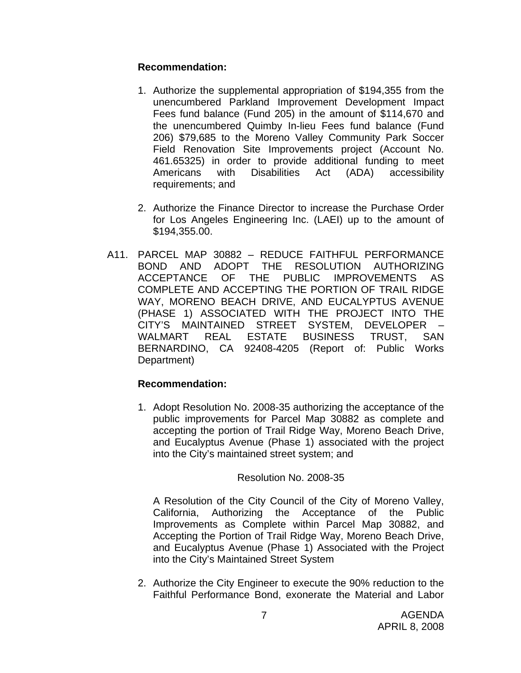# **Recommendation:**

- 1. Authorize the supplemental appropriation of \$194,355 from the unencumbered Parkland Improvement Development Impact Fees fund balance (Fund 205) in the amount of \$114,670 and the unencumbered Quimby In-lieu Fees fund balance (Fund 206) \$79,685 to the Moreno Valley Community Park Soccer Field Renovation Site Improvements project (Account No. 461.65325) in order to provide additional funding to meet Americans with Disabilities Act (ADA) accessibility requirements; and
- 2. Authorize the Finance Director to increase the Purchase Order for Los Angeles Engineering Inc. (LAEI) up to the amount of \$194,355.00.
- A11. PARCEL MAP 30882 REDUCE FAITHFUL PERFORMANCE BOND AND ADOPT THE RESOLUTION AUTHORIZING ACCEPTANCE OF THE PUBLIC IMPROVEMENTS AS COMPLETE AND ACCEPTING THE PORTION OF TRAIL RIDGE WAY, MORENO BEACH DRIVE, AND EUCALYPTUS AVENUE (PHASE 1) ASSOCIATED WITH THE PROJECT INTO THE CITY'S MAINTAINED STREET SYSTEM, DEVELOPER – WALMART REAL ESTATE BUSINESS TRUST, SAN BERNARDINO, CA 92408-4205 (Report of: Public Works Department)

#### **Recommendation:**

1. Adopt Resolution No. 2008-35 authorizing the acceptance of the public improvements for Parcel Map 30882 as complete and accepting the portion of Trail Ridge Way, Moreno Beach Drive, and Eucalyptus Avenue (Phase 1) associated with the project into the City's maintained street system; and

#### Resolution No. 2008-35

A Resolution of the City Council of the City of Moreno Valley, California, Authorizing the Acceptance of the Public Improvements as Complete within Parcel Map 30882, and Accepting the Portion of Trail Ridge Way, Moreno Beach Drive, and Eucalyptus Avenue (Phase 1) Associated with the Project into the City's Maintained Street System

2. Authorize the City Engineer to execute the 90% reduction to the Faithful Performance Bond, exonerate the Material and Labor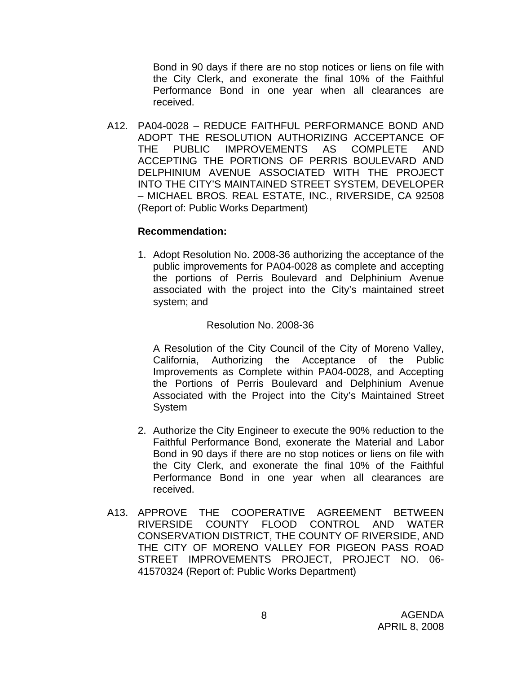Bond in 90 days if there are no stop notices or liens on file with the City Clerk, and exonerate the final 10% of the Faithful Performance Bond in one year when all clearances are received.

A12. PA04-0028 – REDUCE FAITHFUL PERFORMANCE BOND AND ADOPT THE RESOLUTION AUTHORIZING ACCEPTANCE OF THE PUBLIC IMPROVEMENTS AS COMPLETE AND ACCEPTING THE PORTIONS OF PERRIS BOULEVARD AND DELPHINIUM AVENUE ASSOCIATED WITH THE PROJECT INTO THE CITY'S MAINTAINED STREET SYSTEM, DEVELOPER – MICHAEL BROS. REAL ESTATE, INC., RIVERSIDE, CA 92508 (Report of: Public Works Department)

#### **Recommendation:**

1. Adopt Resolution No. 2008-36 authorizing the acceptance of the public improvements for PA04-0028 as complete and accepting the portions of Perris Boulevard and Delphinium Avenue associated with the project into the City's maintained street system; and

#### Resolution No. 2008-36

A Resolution of the City Council of the City of Moreno Valley, California, Authorizing the Acceptance of the Public Improvements as Complete within PA04-0028, and Accepting the Portions of Perris Boulevard and Delphinium Avenue Associated with the Project into the City's Maintained Street System

- 2. Authorize the City Engineer to execute the 90% reduction to the Faithful Performance Bond, exonerate the Material and Labor Bond in 90 days if there are no stop notices or liens on file with the City Clerk, and exonerate the final 10% of the Faithful Performance Bond in one year when all clearances are received.
- A13. APPROVE THE COOPERATIVE AGREEMENT BETWEEN RIVERSIDE COUNTY FLOOD CONTROL AND WATER CONSERVATION DISTRICT, THE COUNTY OF RIVERSIDE, AND THE CITY OF MORENO VALLEY FOR PIGEON PASS ROAD STREET IMPROVEMENTS PROJECT, PROJECT NO. 06- 41570324 (Report of: Public Works Department)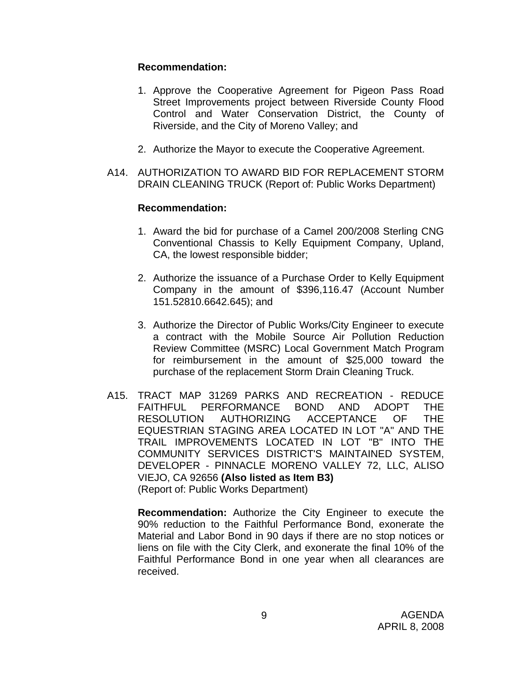#### **Recommendation:**

- 1. Approve the Cooperative Agreement for Pigeon Pass Road Street Improvements project between Riverside County Flood Control and Water Conservation District, the County of Riverside, and the City of Moreno Valley; and
- 2. Authorize the Mayor to execute the Cooperative Agreement.
- A14. AUTHORIZATION TO AWARD BID FOR REPLACEMENT STORM DRAIN CLEANING TRUCK (Report of: Public Works Department)

# **Recommendation:**

- 1. Award the bid for purchase of a Camel 200/2008 Sterling CNG Conventional Chassis to Kelly Equipment Company, Upland, CA, the lowest responsible bidder;
- 2. Authorize the issuance of a Purchase Order to Kelly Equipment Company in the amount of \$396,116.47 (Account Number 151.52810.6642.645); and
- 3. Authorize the Director of Public Works/City Engineer to execute a contract with the Mobile Source Air Pollution Reduction Review Committee (MSRC) Local Government Match Program for reimbursement in the amount of \$25,000 toward the purchase of the replacement Storm Drain Cleaning Truck.
- A15. TRACT MAP 31269 PARKS AND RECREATION REDUCE FAITHFUL PERFORMANCE BOND AND ADOPT THE RESOLUTION AUTHORIZING ACCEPTANCE OF THE EQUESTRIAN STAGING AREA LOCATED IN LOT "A" AND THE TRAIL IMPROVEMENTS LOCATED IN LOT "B" INTO THE COMMUNITY SERVICES DISTRICT'S MAINTAINED SYSTEM, DEVELOPER - PINNACLE MORENO VALLEY 72, LLC, ALISO VIEJO, CA 92656 **(Also listed as Item B3)**  (Report of: Public Works Department)

**Recommendation:** Authorize the City Engineer to execute the 90% reduction to the Faithful Performance Bond, exonerate the Material and Labor Bond in 90 days if there are no stop notices or liens on file with the City Clerk, and exonerate the final 10% of the Faithful Performance Bond in one year when all clearances are received.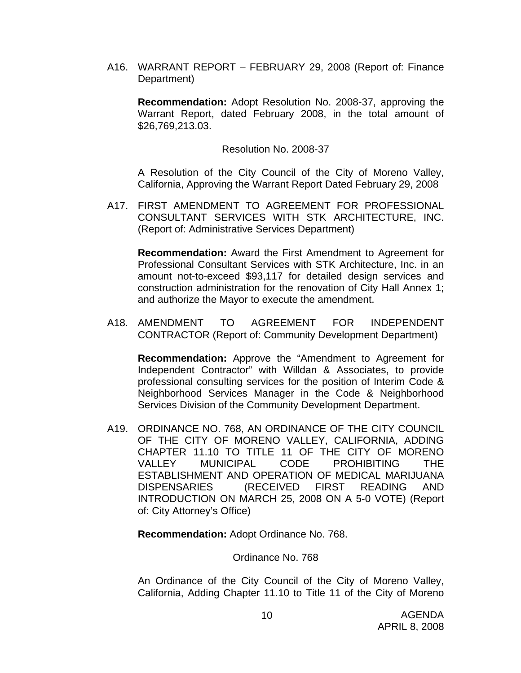A16. WARRANT REPORT – FEBRUARY 29, 2008 (Report of: Finance Department)

**Recommendation:** Adopt Resolution No. 2008-37, approving the Warrant Report, dated February 2008, in the total amount of \$26,769,213.03.

Resolution No. 2008-37

A Resolution of the City Council of the City of Moreno Valley, California, Approving the Warrant Report Dated February 29, 2008

A17. FIRST AMENDMENT TO AGREEMENT FOR PROFESSIONAL CONSULTANT SERVICES WITH STK ARCHITECTURE, INC. (Report of: Administrative Services Department)

 **Recommendation:** Award the First Amendment to Agreement for Professional Consultant Services with STK Architecture, Inc. in an amount not-to-exceed \$93,117 for detailed design services and construction administration for the renovation of City Hall Annex 1; and authorize the Mayor to execute the amendment.

A18. AMENDMENT TO AGREEMENT FOR INDEPENDENT CONTRACTOR (Report of: Community Development Department)

**Recommendation:** Approve the "Amendment to Agreement for Independent Contractor" with Willdan & Associates, to provide professional consulting services for the position of Interim Code & Neighborhood Services Manager in the Code & Neighborhood Services Division of the Community Development Department.

A19. ORDINANCE NO. 768, AN ORDINANCE OF THE CITY COUNCIL OF THE CITY OF MORENO VALLEY, CALIFORNIA, ADDING CHAPTER 11.10 TO TITLE 11 OF THE CITY OF MORENO VALLEY MUNICIPAL CODE PROHIBITING THE ESTABLISHMENT AND OPERATION OF MEDICAL MARIJUANA DISPENSARIES (RECEIVED FIRST READING AND INTRODUCTION ON MARCH 25, 2008 ON A 5-0 VOTE) (Report of: City Attorney's Office)

**Recommendation:** Adopt Ordinance No. 768.

Ordinance No. 768

An Ordinance of the City Council of the City of Moreno Valley, California, Adding Chapter 11.10 to Title 11 of the City of Moreno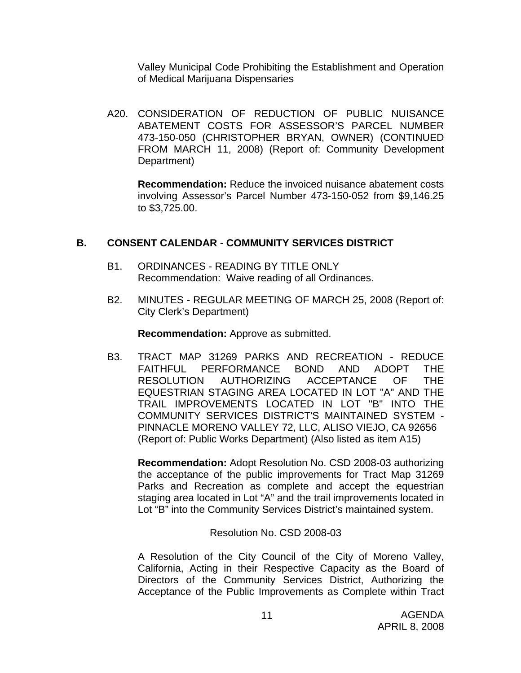Valley Municipal Code Prohibiting the Establishment and Operation of Medical Marijuana Dispensaries

A20. CONSIDERATION OF REDUCTION OF PUBLIC NUISANCE ABATEMENT COSTS FOR ASSESSOR'S PARCEL NUMBER 473-150-050 (CHRISTOPHER BRYAN, OWNER) (CONTINUED FROM MARCH 11, 2008) (Report of: Community Development Department)

**Recommendation:** Reduce the invoiced nuisance abatement costs involving Assessor's Parcel Number 473-150-052 from \$9,146.25 to \$3,725.00.

# **B. CONSENT CALENDAR** - **COMMUNITY SERVICES DISTRICT**

- B1. ORDINANCES READING BY TITLE ONLY Recommendation: Waive reading of all Ordinances.
- B2. MINUTES REGULAR MEETING OF MARCH 25, 2008 (Report of: City Clerk's Department)

**Recommendation:** Approve as submitted.

B3. TRACT MAP 31269 PARKS AND RECREATION - REDUCE FAITHFUL PERFORMANCE BOND AND ADOPT THE RESOLUTION AUTHORIZING ACCEPTANCE OF THE EQUESTRIAN STAGING AREA LOCATED IN LOT "A" AND THE TRAIL IMPROVEMENTS LOCATED IN LOT "B" INTO THE COMMUNITY SERVICES DISTRICT'S MAINTAINED SYSTEM - PINNACLE MORENO VALLEY 72, LLC, ALISO VIEJO, CA 92656 (Report of: Public Works Department) (Also listed as item A15)

**Recommendation:** Adopt Resolution No. CSD 2008-03 authorizing the acceptance of the public improvements for Tract Map 31269 Parks and Recreation as complete and accept the equestrian staging area located in Lot "A" and the trail improvements located in Lot "B" into the Community Services District's maintained system.

Resolution No. CSD 2008-03

A Resolution of the City Council of the City of Moreno Valley, California, Acting in their Respective Capacity as the Board of Directors of the Community Services District, Authorizing the Acceptance of the Public Improvements as Complete within Tract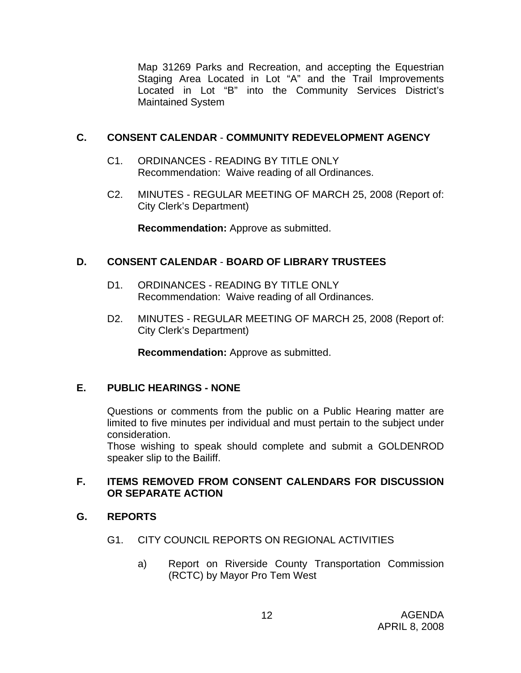Map 31269 Parks and Recreation, and accepting the Equestrian Staging Area Located in Lot "A" and the Trail Improvements Located in Lot "B" into the Community Services District's Maintained System

# **C. CONSENT CALENDAR** - **COMMUNITY REDEVELOPMENT AGENCY**

- C1. ORDINANCES READING BY TITLE ONLY Recommendation: Waive reading of all Ordinances.
- C2. MINUTES REGULAR MEETING OF MARCH 25, 2008 (Report of: City Clerk's Department)

**Recommendation:** Approve as submitted.

# **D. CONSENT CALENDAR** - **BOARD OF LIBRARY TRUSTEES**

- D1. ORDINANCES READING BY TITLE ONLY Recommendation: Waive reading of all Ordinances.
- D2. MINUTES REGULAR MEETING OF MARCH 25, 2008 (Report of: City Clerk's Department)

**Recommendation:** Approve as submitted.

# **E. PUBLIC HEARINGS - NONE**

Questions or comments from the public on a Public Hearing matter are limited to five minutes per individual and must pertain to the subject under consideration.

 Those wishing to speak should complete and submit a GOLDENROD speaker slip to the Bailiff.

# **F. ITEMS REMOVED FROM CONSENT CALENDARS FOR DISCUSSION OR SEPARATE ACTION**

# **G. REPORTS**

- G1. CITY COUNCIL REPORTS ON REGIONAL ACTIVITIES
	- a) Report on Riverside County Transportation Commission (RCTC) by Mayor Pro Tem West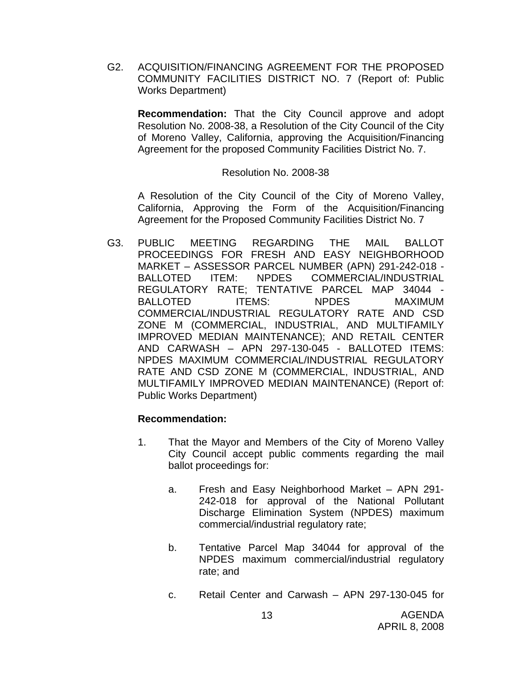G2. ACQUISITION/FINANCING AGREEMENT FOR THE PROPOSED COMMUNITY FACILITIES DISTRICT NO. 7 (Report of: Public Works Department)

 **Recommendation:** That the City Council approve and adopt Resolution No. 2008-38, a Resolution of the City Council of the City of Moreno Valley, California, approving the Acquisition/Financing Agreement for the proposed Community Facilities District No. 7.

#### Resolution No. 2008-38

A Resolution of the City Council of the City of Moreno Valley, California, Approving the Form of the Acquisition/Financing Agreement for the Proposed Community Facilities District No. 7

G3. PUBLIC MEETING REGARDING THE MAIL BALLOT PROCEEDINGS FOR FRESH AND EASY NEIGHBORHOOD MARKET – ASSESSOR PARCEL NUMBER (APN) 291-242-018 - BALLOTED ITEM: NPDES COMMERCIAL/INDUSTRIAL REGULATORY RATE; TENTATIVE PARCEL MAP 34044 - BALLOTED ITEMS: NPDES MAXIMUM COMMERCIAL/INDUSTRIAL REGULATORY RATE AND CSD ZONE M (COMMERCIAL, INDUSTRIAL, AND MULTIFAMILY IMPROVED MEDIAN MAINTENANCE); AND RETAIL CENTER AND CARWASH – APN 297-130-045 - BALLOTED ITEMS: NPDES MAXIMUM COMMERCIAL/INDUSTRIAL REGULATORY RATE AND CSD ZONE M (COMMERCIAL, INDUSTRIAL, AND MULTIFAMILY IMPROVED MEDIAN MAINTENANCE) (Report of: Public Works Department)

- 1. That the Mayor and Members of the City of Moreno Valley City Council accept public comments regarding the mail ballot proceedings for:
	- a. Fresh and Easy Neighborhood Market APN 291- 242-018 for approval of the National Pollutant Discharge Elimination System (NPDES) maximum commercial/industrial regulatory rate;
	- b. Tentative Parcel Map 34044 for approval of the NPDES maximum commercial/industrial regulatory rate; and
	- c. Retail Center and Carwash APN 297-130-045 for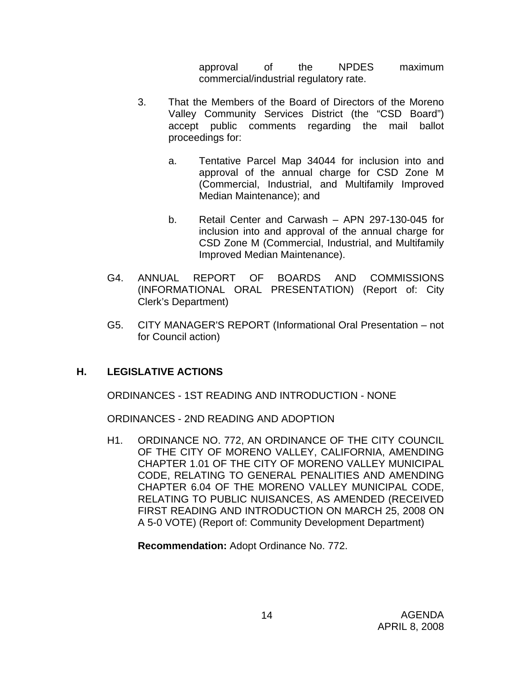approval of the NPDES maximum commercial/industrial regulatory rate.

- 3. That the Members of the Board of Directors of the Moreno Valley Community Services District (the "CSD Board") accept public comments regarding the mail ballot proceedings for:
	- a. Tentative Parcel Map 34044 for inclusion into and approval of the annual charge for CSD Zone M (Commercial, Industrial, and Multifamily Improved Median Maintenance); and
	- b. Retail Center and Carwash APN 297-130-045 for inclusion into and approval of the annual charge for CSD Zone M (Commercial, Industrial, and Multifamily Improved Median Maintenance).
- G4. ANNUAL REPORT OF BOARDS AND COMMISSIONS (INFORMATIONAL ORAL PRESENTATION) (Report of: City Clerk's Department)
- G5. CITY MANAGER'S REPORT (Informational Oral Presentation not for Council action)

# **H. LEGISLATIVE ACTIONS**

ORDINANCES - 1ST READING AND INTRODUCTION - NONE

ORDINANCES - 2ND READING AND ADOPTION

H1. ORDINANCE NO. 772, AN ORDINANCE OF THE CITY COUNCIL OF THE CITY OF MORENO VALLEY, CALIFORNIA, AMENDING CHAPTER 1.01 OF THE CITY OF MORENO VALLEY MUNICIPAL CODE, RELATING TO GENERAL PENALITIES AND AMENDING CHAPTER 6.04 OF THE MORENO VALLEY MUNICIPAL CODE, RELATING TO PUBLIC NUISANCES, AS AMENDED (RECEIVED FIRST READING AND INTRODUCTION ON MARCH 25, 2008 ON A 5-0 VOTE) (Report of: Community Development Department)

**Recommendation:** Adopt Ordinance No. 772.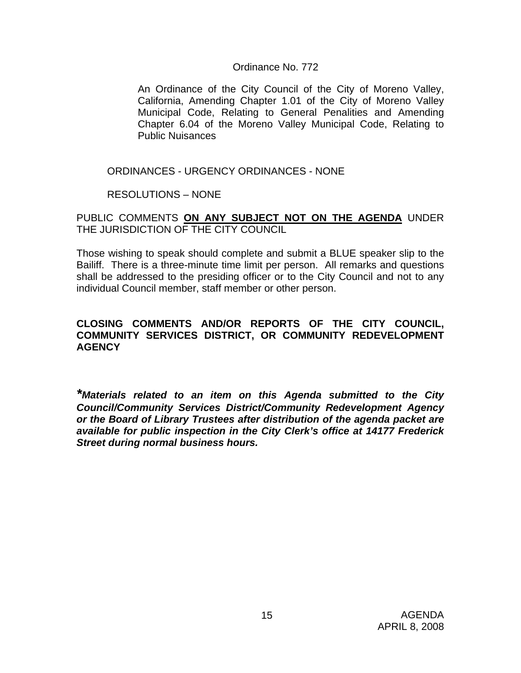#### Ordinance No. 772

An Ordinance of the City Council of the City of Moreno Valley, California, Amending Chapter 1.01 of the City of Moreno Valley Municipal Code, Relating to General Penalities and Amending Chapter 6.04 of the Moreno Valley Municipal Code, Relating to Public Nuisances

#### ORDINANCES - URGENCY ORDINANCES - NONE

RESOLUTIONS – NONE

PUBLIC COMMENTS **ON ANY SUBJECT NOT ON THE AGENDA** UNDER THE JURISDICTION OF THE CITY COUNCIL

Those wishing to speak should complete and submit a BLUE speaker slip to the Bailiff. There is a three-minute time limit per person. All remarks and questions shall be addressed to the presiding officer or to the City Council and not to any individual Council member, staff member or other person.

#### **CLOSING COMMENTS AND/OR REPORTS OF THE CITY COUNCIL, COMMUNITY SERVICES DISTRICT, OR COMMUNITY REDEVELOPMENT AGENCY**

*\*Materials related to an item on this Agenda submitted to the City Council/Community Services District/Community Redevelopment Agency or the Board of Library Trustees after distribution of the agenda packet are available for public inspection in the City Clerk's office at 14177 Frederick Street during normal business hours.*